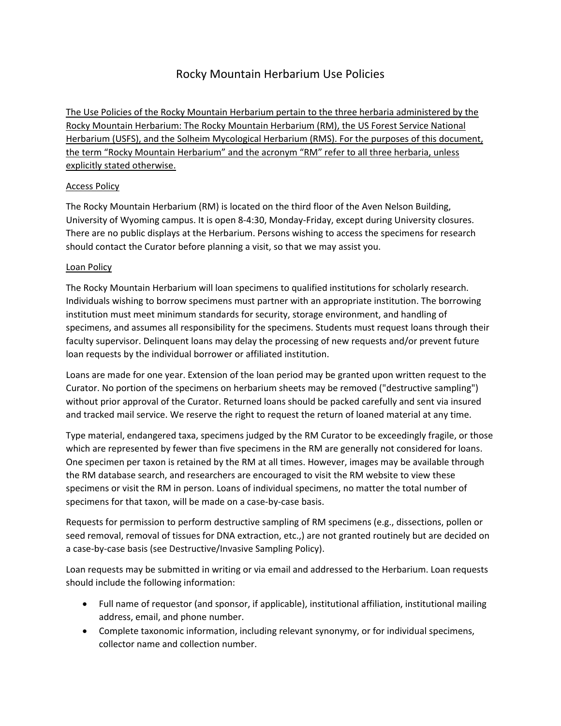# Rocky Mountain Herbarium Use Policies

The Use Policies of the Rocky Mountain Herbarium pertain to the three herbaria administered by the Rocky Mountain Herbarium: The Rocky Mountain Herbarium (RM), the US Forest Service National Herbarium (USFS), and the Solheim Mycological Herbarium (RMS). For the purposes of this document, the term "Rocky Mountain Herbarium" and the acronym "RM" refer to all three herbaria, unless explicitly stated otherwise.

## Access Policy

The Rocky Mountain Herbarium (RM) is located on the third floor of the Aven Nelson Building, University of Wyoming campus. It is open 8-4:30, Monday-Friday, except during University closures. There are no public displays at the Herbarium. Persons wishing to access the specimens for research should contact the Curator before planning a visit, so that we may assist you.

## Loan Policy

The Rocky Mountain Herbarium will loan specimens to qualified institutions for scholarly research. Individuals wishing to borrow specimens must partner with an appropriate institution. The borrowing institution must meet minimum standards for security, storage environment, and handling of specimens, and assumes all responsibility for the specimens. Students must request loans through their faculty supervisor. Delinquent loans may delay the processing of new requests and/or prevent future loan requests by the individual borrower or affiliated institution.

Loans are made for one year. Extension of the loan period may be granted upon written request to the Curator. No portion of the specimens on herbarium sheets may be removed ("destructive sampling") without prior approval of the Curator. Returned loans should be packed carefully and sent via insured and tracked mail service. We reserve the right to request the return of loaned material at any time.

Type material, endangered taxa, specimens judged by the RM Curator to be exceedingly fragile, or those which are represented by fewer than five specimens in the RM are generally not considered for loans. One specimen per taxon is retained by the RM at all times. However, images may be available through the RM database search, and researchers are encouraged to visit the RM website to view these specimens or visit the RM in person. Loans of individual specimens, no matter the total number of specimens for that taxon, will be made on a case-by-case basis.

Requests for permission to perform destructive sampling of RM specimens (e.g., dissections, pollen or seed removal, removal of tissues for DNA extraction, etc.,) are not granted routinely but are decided on a case-by-case basis (see Destructive/Invasive Sampling Policy).

Loan requests may be submitted in writing or via email and addressed to the Herbarium. Loan requests should include the following information:

- Full name of requestor (and sponsor, if applicable), institutional affiliation, institutional mailing address, email, and phone number.
- Complete taxonomic information, including relevant synonymy, or for individual specimens, collector name and collection number.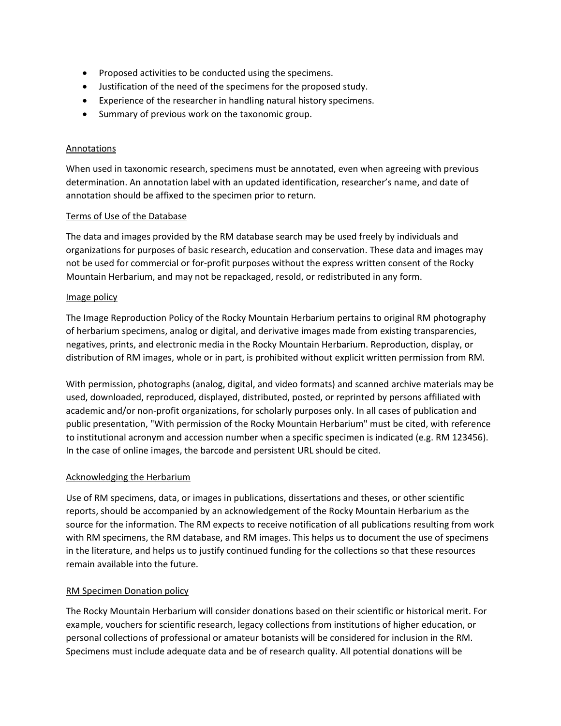- Proposed activities to be conducted using the specimens.
- Justification of the need of the specimens for the proposed study.
- Experience of the researcher in handling natural history specimens.
- Summary of previous work on the taxonomic group.

#### Annotations

When used in taxonomic research, specimens must be annotated, even when agreeing with previous determination. An annotation label with an updated identification, researcher's name, and date of annotation should be affixed to the specimen prior to return.

#### Terms of Use of the Database

The data and images provided by the RM database search may be used freely by individuals and organizations for purposes of basic research, education and conservation. These data and images may not be used for commercial or for-profit purposes without the express written consent of the Rocky Mountain Herbarium, and may not be repackaged, resold, or redistributed in any form.

## Image policy

The Image Reproduction Policy of the Rocky Mountain Herbarium pertains to original RM photography of herbarium specimens, analog or digital, and derivative images made from existing transparencies, negatives, prints, and electronic media in the Rocky Mountain Herbarium. Reproduction, display, or distribution of RM images, whole or in part, is prohibited without explicit written permission from RM.

With permission, photographs (analog, digital, and video formats) and scanned archive materials may be used, downloaded, reproduced, displayed, distributed, posted, or reprinted by persons affiliated with academic and/or non-profit organizations, for scholarly purposes only. In all cases of publication and public presentation, "With permission of the Rocky Mountain Herbarium" must be cited, with reference to institutional acronym and accession number when a specific specimen is indicated (e.g. RM 123456). In the case of online images, the barcode and persistent URL should be cited.

#### Acknowledging the Herbarium

Use of RM specimens, data, or images in publications, dissertations and theses, or other scientific reports, should be accompanied by an acknowledgement of the Rocky Mountain Herbarium as the source for the information. The RM expects to receive notification of all publications resulting from work with RM specimens, the RM database, and RM images. This helps us to document the use of specimens in the literature, and helps us to justify continued funding for the collections so that these resources remain available into the future.

#### RM Specimen Donation policy

The Rocky Mountain Herbarium will consider donations based on their scientific or historical merit. For example, vouchers for scientific research, legacy collections from institutions of higher education, or personal collections of professional or amateur botanists will be considered for inclusion in the RM. Specimens must include adequate data and be of research quality. All potential donations will be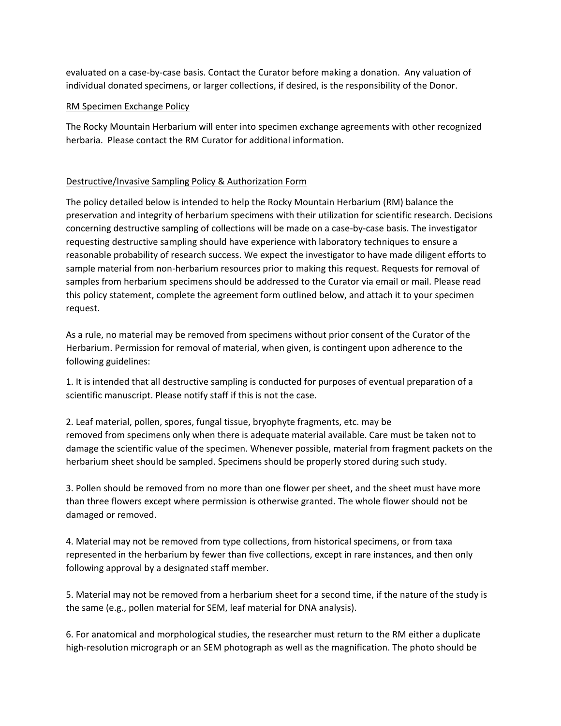evaluated on a case-by-case basis. Contact the Curator before making a donation. Any valuation of individual donated specimens, or larger collections, if desired, is the responsibility of the Donor.

#### RM Specimen Exchange Policy

The Rocky Mountain Herbarium will enter into specimen exchange agreements with other recognized herbaria. Please contact the RM Curator for additional information.

#### Destructive/Invasive Sampling Policy & Authorization Form

The policy detailed below is intended to help the Rocky Mountain Herbarium (RM) balance the preservation and integrity of herbarium specimens with their utilization for scientific research. Decisions concerning destructive sampling of collections will be made on a case-by-case basis. The investigator requesting destructive sampling should have experience with laboratory techniques to ensure a reasonable probability of research success. We expect the investigator to have made diligent efforts to sample material from non-herbarium resources prior to making this request. Requests for removal of samples from herbarium specimens should be addressed to the Curator via email or mail. Please read this policy statement, complete the agreement form outlined below, and attach it to your specimen request.

As a rule, no material may be removed from specimens without prior consent of the Curator of the Herbarium. Permission for removal of material, when given, is contingent upon adherence to the following guidelines:

1. It is intended that all destructive sampling is conducted for purposes of eventual preparation of a scientific manuscript. Please notify staff if this is not the case.

2. Leaf material, pollen, spores, fungal tissue, bryophyte fragments, etc. may be removed from specimens only when there is adequate material available. Care must be taken not to damage the scientific value of the specimen. Whenever possible, material from fragment packets on the herbarium sheet should be sampled. Specimens should be properly stored during such study.

3. Pollen should be removed from no more than one flower per sheet, and the sheet must have more than three flowers except where permission is otherwise granted. The whole flower should not be damaged or removed.

4. Material may not be removed from type collections, from historical specimens, or from taxa represented in the herbarium by fewer than five collections, except in rare instances, and then only following approval by a designated staff member.

5. Material may not be removed from a herbarium sheet for a second time, if the nature of the study is the same (e.g., pollen material for SEM, leaf material for DNA analysis).

6. For anatomical and morphological studies, the researcher must return to the RM either a duplicate high-resolution micrograph or an SEM photograph as well as the magnification. The photo should be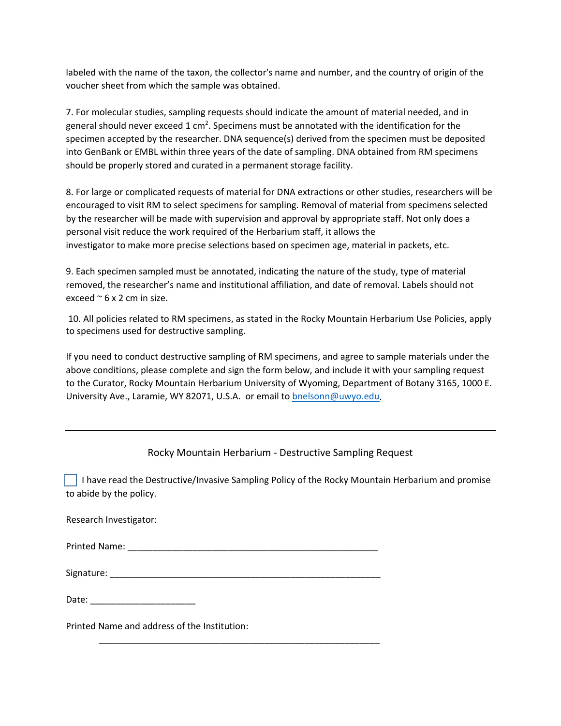labeled with the name of the taxon, the collector's name and number, and the country of origin of the voucher sheet from which the sample was obtained.

7. For molecular studies, sampling requests should indicate the amount of material needed, and in general should never exceed 1 cm<sup>2</sup>. Specimens must be annotated with the identification for the specimen accepted by the researcher. DNA sequence(s) derived from the specimen must be deposited into GenBank or EMBL within three years of the date of sampling. DNA obtained from RM specimens should be properly stored and curated in a permanent storage facility.

8. For large or complicated requests of material for DNA extractions or other studies, researchers will be encouraged to visit RM to select specimens for sampling. Removal of material from specimens selected by the researcher will be made with supervision and approval by appropriate staff. Not only does a personal visit reduce the work required of the Herbarium staff, it allows the investigator to make more precise selections based on specimen age, material in packets, etc.

9. Each specimen sampled must be annotated, indicating the nature of the study, type of material removed, the researcher's name and institutional affiliation, and date of removal. Labels should not exceed  $\approx$  6 x 2 cm in size.

10. All policies related to RM specimens, as stated in the Rocky Mountain Herbarium Use Policies, apply to specimens used for destructive sampling.

If you need to conduct destructive sampling of RM specimens, and agree to sample materials under the above conditions, please complete and sign the form below, and include it with your sampling request to the Curator, Rocky Mountain Herbarium University of Wyoming, Department of Botany 3165, 1000 E. University Ave., Laramie, WY 82071, U.S.A. or email to [bnelsonn@uwyo.edu.](about:blank)

## Rocky Mountain Herbarium - Destructive Sampling Request

 I have read the Destructive/Invasive Sampling Policy of the Rocky Mountain Herbarium and promise to abide by the policy.

Printed Name: \_\_\_\_\_\_\_\_\_\_\_\_\_\_\_\_\_\_\_\_\_\_\_\_\_\_\_\_\_\_\_\_\_\_\_\_\_\_\_\_\_\_\_\_\_\_\_\_\_\_

Signature: \_\_\_\_\_\_\_\_\_\_\_\_\_\_\_\_\_\_\_\_\_\_\_\_\_\_\_\_\_\_\_\_\_\_\_\_\_\_\_\_\_\_\_\_\_\_\_\_\_\_\_\_\_\_

\_\_\_\_\_\_\_\_\_\_\_\_\_\_\_\_\_\_\_\_\_\_\_\_\_\_\_\_\_\_\_\_\_\_\_\_\_\_\_\_\_\_\_\_\_\_\_\_\_\_\_\_\_\_\_\_

| Date: |  |
|-------|--|
|       |  |

Printed Name and address of the Institution: